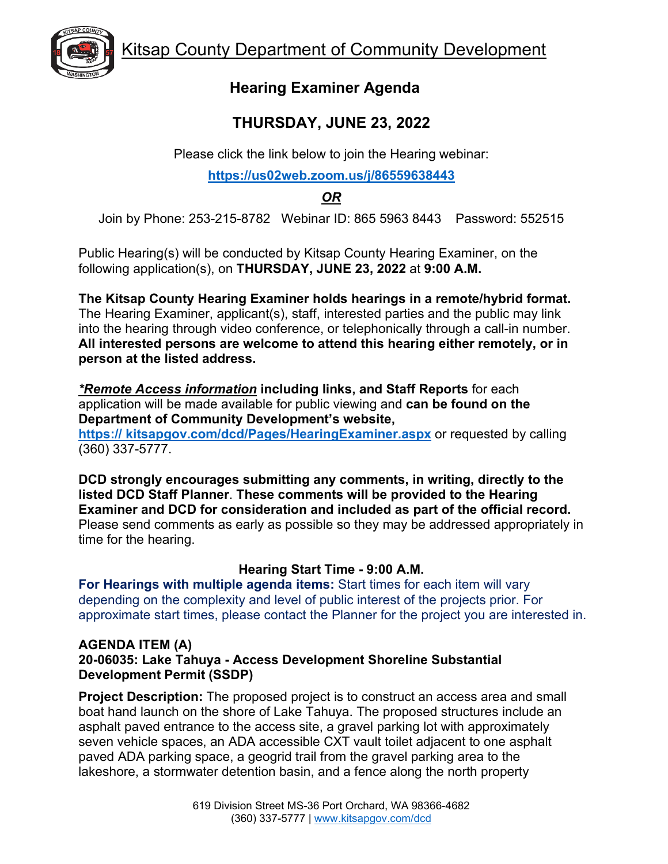



## **Hearing Examiner Agenda**

# **THURSDAY, JUNE 23, 2022**

Please click the link below to join the Hearing webinar:

#### **<https://us02web.zoom.us/j/86559638443>**

### *OR*

Join by Phone: 253-215-8782 Webinar ID: 865 5963 8443 Password: 552515

Public Hearing(s) will be conducted by Kitsap County Hearing Examiner, on the following application(s), on **THURSDAY, JUNE 23, 2022** at **9:00 A.M.** 

**The Kitsap County Hearing Examiner holds hearings in a remote/hybrid format.**  The Hearing Examiner, applicant(s), staff, interested parties and the public may link into the hearing through video conference, or telephonically through a call-in number. **All interested persons are welcome to attend this hearing either remotely, or in person at the listed address.**

*\*Remote Access information* **including links, and Staff Reports** for each application will be made available for public viewing and **can be found on the Department of Community Development's website, https:// kitsapgov.com/dcd/Pages/HearingExaminer.aspx** or requested by calling

(360) 337-5777.

**DCD strongly encourages submitting any comments, in writing, directly to the listed DCD Staff Planner**. **These comments will be provided to the Hearing Examiner and DCD for consideration and included as part of the official record.** Please send comments as early as possible so they may be addressed appropriately in time for the hearing.

### **Hearing Start Time - 9:00 A.M.**

**For Hearings with multiple agenda items:** Start times for each item will vary depending on the complexity and level of public interest of the projects prior. For approximate start times, please contact the Planner for the project you are interested in.

#### **AGENDA ITEM (A) 20-06035: Lake Tahuya - Access Development Shoreline Substantial Development Permit (SSDP)**

**Project Description:** The proposed project is to construct an access area and small boat hand launch on the shore of Lake Tahuya. The proposed structures include an asphalt paved entrance to the access site, a gravel parking lot with approximately seven vehicle spaces, an ADA accessible CXT vault toilet adjacent to one asphalt paved ADA parking space, a geogrid trail from the gravel parking area to the lakeshore, a stormwater detention basin, and a fence along the north property